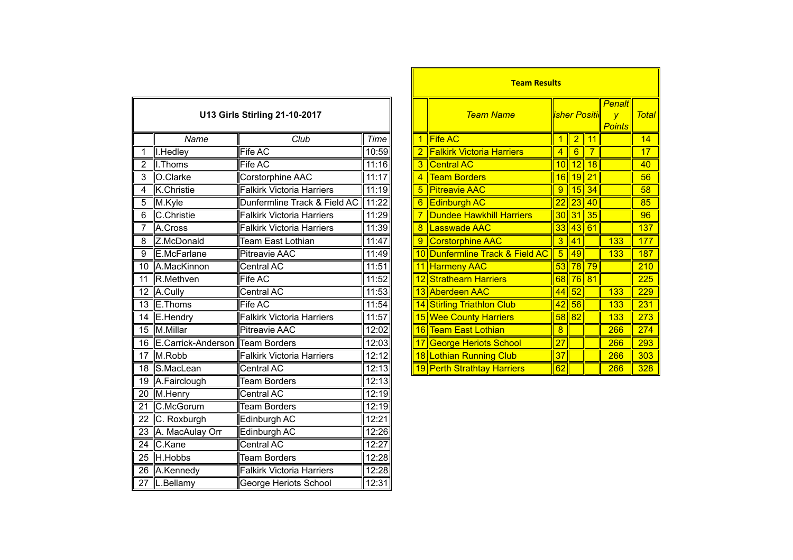|                               |                                    |                                  |       |                |                  |                                  |                 |                 |                       | <u>ll Penait II</u> |            |
|-------------------------------|------------------------------------|----------------------------------|-------|----------------|------------------|----------------------------------|-----------------|-----------------|-----------------------|---------------------|------------|
| U13 Girls Stirling 21-10-2017 |                                    |                                  |       |                | <b>Team Name</b> | <b>Isher Positic</b>             |                 |                 | $\overline{V}$        | <b>Tota</b>         |            |
|                               |                                    |                                  |       |                |                  |                                  |                 |                 | <b>Points</b>         |                     |            |
|                               | Name                               | Club                             | Time  | $\mathbf 1$    |                  | <b>Fife AC</b>                   | $\mathbf 1$     |                 | 2 11                  |                     | 14         |
| 1                             | I.Hedley                           | <b>Fife AC</b>                   | 10:59 |                |                  | <b>Falkirk Victoria Harriers</b> | $\overline{4}$  |                 | $6$   7               |                     | 17         |
| 2                             | I.Thoms                            | Fife AC                          | 11:16 | 3              |                  | <b>Central AC</b>                |                 |                 | 10 12 18              |                     | 40         |
| 3                             | O.Clarke                           | Corstorphine AAC                 | 11:17 | $\overline{4}$ |                  | <b>Team Borders</b>              |                 |                 | 16 19 21              |                     | 56         |
| 4                             | K.Christie                         | <b>Falkirk Victoria Harriers</b> | 11:19 | 5              |                  | <b>Pitreavie AAC</b>             | 9               |                 | $15\overline{)34}$    |                     | 58         |
| 5                             | M.Kyle                             | Dunfermline Track & Field AC     | 11:22 | 6              |                  | <b>Edinburgh AC</b>              | 22              |                 | 23 40                 |                     | 85         |
| 6                             | C.Christie                         | <b>Falkirk Victoria Harriers</b> | 11:29 | $\overline{7}$ |                  | <b>Dundee Hawkhill Harriers</b>  | 30 <sub>o</sub> |                 | $\vert$ 31 $\vert$ 35 |                     | 96         |
|                               | A.Cross                            | <b>Falkirk Victoria Harriers</b> | 11:39 | 8              |                  | <b>Lasswade AAC</b>              | 33              |                 | 43 61                 |                     | 137        |
| 8                             | Z.McDonald                         | <b>Team East Lothian</b>         | 11:47 | $\overline{9}$ |                  | <b>Corstorphine AAC</b>          | $\overline{3}$  | 41              |                       | 133                 | 177        |
| 9                             | E.McFarlane                        | <b>Pitreavie AAC</b>             | 11:49 | 10             |                  | Dunfermline Track & Field AC     | $\overline{5}$  | 49              |                       | 133                 | 187        |
| 10                            | A.MacKinnon                        | Central AC                       | 11:51 |                |                  | 11 Harmeny AAC                   | 53              |                 | $\ 78\ 79\ $          |                     | 210        |
| 11                            | R.Methven                          | Fife AC                          | 11:52 |                |                  | 12 Strathearn Harriers           | 68              |                 | 76 81                 |                     | 225        |
|                               | 12 A.Cully                         | Central AC                       | 11:53 |                |                  | 13 Aberdeen AAC                  | 44              | 52              |                       | 133                 | 229        |
|                               | 13 E. Thoms                        | Fife AC                          | 11:54 |                |                  | 14 Stirling Triathlon Club       | 42              | $\overline{56}$ |                       | 133                 | 231        |
|                               | 14 E.Hendry                        | <b>Falkirk Victoria Harriers</b> | 11:57 |                |                  | 15 Wee County Harriers           |                 | $58$ 82         |                       | 133                 | 273        |
|                               | 15 M.Millar                        | <b>Pitreavie AAC</b>             | 12:02 |                |                  | 16 Team East Lothian             | $\overline{8}$  |                 |                       | 266                 | 274        |
|                               | 16 E.Carrick-Anderson Team Borders |                                  | 12:03 | 17             |                  | <b>George Heriots School</b>     | $\overline{27}$ |                 |                       | 266                 | 293        |
|                               | 17 M.Robb                          | <b>Falkirk Victoria Harriers</b> | 12:12 |                |                  | 18 Lothian Running Club          | $\overline{37}$ |                 |                       | 266                 | 303        |
| 18                            | S.MacLean                          | Central AC                       | 12:13 |                |                  | 19 Perth Strathtay Harriers      | 62              |                 |                       | 266                 | <b>328</b> |
| 19                            | A.Fairclough                       | <b>Team Borders</b>              | 12:13 |                |                  |                                  |                 |                 |                       |                     |            |
| 20                            | M.Henry                            | Central AC                       | 12:19 |                |                  |                                  |                 |                 |                       |                     |            |
| 21                            | C.McGorum                          | <b>Team Borders</b>              | 12:19 |                |                  |                                  |                 |                 |                       |                     |            |
| 22                            | C. Roxburgh                        | Edinburgh AC                     | 12:21 |                |                  |                                  |                 |                 |                       |                     |            |
| 23                            | A. MacAulay Orr                    | Edinburgh AC                     | 12:26 |                |                  |                                  |                 |                 |                       |                     |            |
| 24                            | C.Kane                             | Central AC                       | 12:27 |                |                  |                                  |                 |                 |                       |                     |            |
| 25                            | H.Hobbs                            | <b>Team Borders</b>              | 12:28 |                |                  |                                  |                 |                 |                       |                     |            |
| 26                            | A.Kennedy                          | <b>Falkirk Victoria Harriers</b> | 12:28 |                |                  |                                  |                 |                 |                       |                     |            |
|                               | 27  L.Bellamy                      | George Heriots School            | 12:31 |                |                  |                                  |                 |                 |                       |                     |            |

|                               |                                  |       |                | <b>Team Results</b>              |                 |                      |          |                                        |       |  |
|-------------------------------|----------------------------------|-------|----------------|----------------------------------|-----------------|----------------------|----------|----------------------------------------|-------|--|
| U13 Girls Stirling 21-10-2017 |                                  |       |                | <b>Team Name</b>                 |                 | <b>isher Positid</b> |          | Penalt<br>$\mathbf v$<br><b>Points</b> | Total |  |
| Name                          | Club                             | Time  |                | $\left  \right $ Fife AC         |                 | $\overline{2}$       | 11       |                                        | 14    |  |
|                               | Fife AC                          | 10:59 |                | <b>Falkirk Victoria Harriers</b> | 4               | 6                    | 7        |                                        | 17    |  |
| $\frac{s}{\sqrt{2}}$          | Fife AC                          | 11:16 |                | 3 Central AC                     | 10              | 12                   | 18       |                                        | 40    |  |
| œ,                            | Corstorphine AAC                 | 11:17 |                | <b>Team Borders</b>              |                 | 16 19 21             |          |                                        | 56    |  |
| tie                           | <b>Falkirk Victoria Harriers</b> | 11:19 | 5              | <b>Pitreavie AAC</b>             | 9               |                      | $15$  34 |                                        | 58    |  |
|                               | Dunfermline Track & Field AC     | 11:22 | 6              | <b>Edinburgh AC</b>              |                 | 22  23  40           |          |                                        | 85    |  |
| itie                          | <b>Falkirk Victoria Harriers</b> | 11:29 |                | <b>Dundee Hawkhill Harriers</b>  |                 | $30$ 31 35           |          |                                        | 96    |  |
|                               | <b>Falkirk Victoria Harriers</b> | 11:39 | 8 <sup>2</sup> | Lasswade AAC                     |                 | $33$ 43 61           |          |                                        | 137   |  |
| onald                         | Team East Lothian                | 11:47 | 9              | Corstorphine AAC                 | 3               | 41                   |          | 133                                    | 177   |  |
| arlane                        | <b>Pitreavie AAC</b>             | 11:49 |                | 10 Dunfermline Track & Field AC  | $5\phantom{.0}$ | 49                   |          | 133                                    | 187   |  |
| <b>Kinnon</b>                 | Central AC                       | 11:51 |                | 11 Harmeny AAC                   |                 | 53 78 79             |          |                                        | 210   |  |
| ven                           | Fife AC                          | 11:52 |                | 12 Strathearn Harriers           |                 | 68 76 81             |          |                                        | 225   |  |
|                               | Central AC                       | 11:53 |                | 13 Aberdeen AAC                  |                 | 44 52                |          | 133                                    | 229   |  |
| າຣ                            | Fife AC                          | 11:54 |                | 14 Stirling Triathlon Club       |                 | 42 56                |          | 133                                    | 231   |  |
| lry                           | <b>Falkirk Victoria Harriers</b> | 11:57 |                | 15 Wee County Harriers           |                 | $58$  82             |          | 133                                    | 273   |  |
|                               | <b>Pitreavie AAC</b>             | 12:02 |                | 16 Team East Lothian             | 8               |                      |          | 266                                    | 274   |  |
|                               | ck-Anderson Team Borders         | 12:03 |                | 17 George Heriots School         | 27              |                      |          | 266                                    | 293   |  |
|                               | <b>Falkirk Victoria Harriers</b> | 12:12 |                | 18 Lothian Running Club          | 37              |                      |          | 266                                    | 303   |  |
| ean                           | Central AC                       | 12:13 |                | 19 Perth Strathtay Harriers      | 62              |                      |          | 266                                    | 328   |  |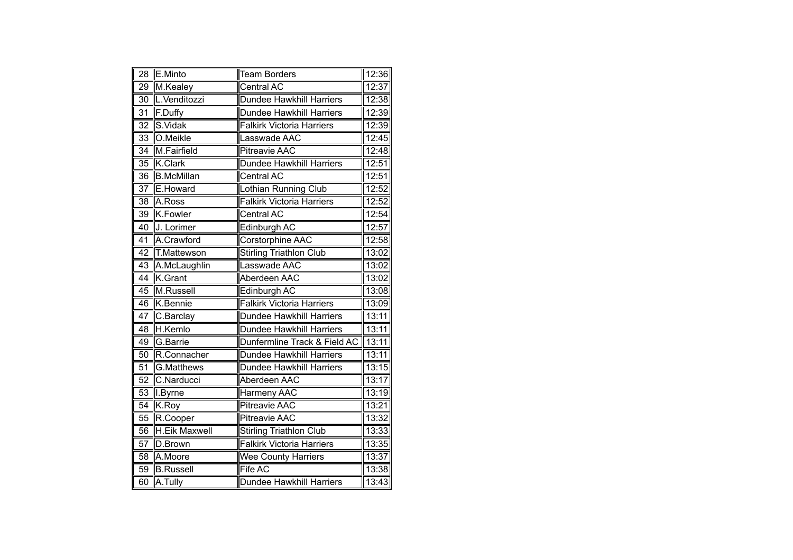| $\overline{28}$ | E.Minto              | <b>Team Borders</b>              | 12:36 |
|-----------------|----------------------|----------------------------------|-------|
| 29              | M.Kealey             | Central AC                       | 12:37 |
| 30              | L.Venditozzi         | Dundee Hawkhill Harriers         | 12:38 |
| 31              | F.Duffy              | Dundee Hawkhill Harriers         | 12:39 |
| $\overline{32}$ | S.Vidak              | <b>Falkirk Victoria Harriers</b> | 12:39 |
| $\overline{33}$ | O.Meikle             | Lasswade AAC                     | 12:45 |
| $\overline{34}$ | M.Fairfield          | <b>Pitreavie AAC</b>             | 12:48 |
| 35              | <b>K.Clark</b>       | <b>Dundee Hawkhill Harriers</b>  | 12:51 |
| 36              | <b>B.McMillan</b>    | Central AC                       | 12:51 |
| $\overline{37}$ | E.Howard             | Lothian Running Club             | 12:52 |
| 38              | A.Ross               | <b>Falkirk Victoria Harriers</b> | 12:52 |
| 39              | K.Fowler             | Central AC                       | 12:54 |
| 40              | J. Lorimer           | Edinburgh AC                     | 12:57 |
| $\overline{41}$ | A.Crawford           | <b>Corstorphine AAC</b>          | 12:58 |
| $\overline{42}$ | <b>T.Mattewson</b>   | <b>Stirling Triathlon Club</b>   | 13:02 |
| $\overline{43}$ | A.McLaughlin         | Lasswade AAC                     | 13:02 |
| $\overline{44}$ | K.Grant              | Aberdeen AAC                     | 13:02 |
| 45              | M.Russell            | <b>Edinburgh AC</b>              | 13:08 |
| 46              | K.Bennie             | <b>Falkirk Victoria Harriers</b> | 13:09 |
| 47              | C.Barclay            | Dundee Hawkhill Harriers         | 13:11 |
| $\overline{48}$ | H.Kemlo              | Dundee Hawkhill Harriers         | 13:11 |
| 49              | G.Barrie             | Dunfermline Track & Field AC     | 13:11 |
| 50              | R.Connacher          | Dundee Hawkhill Harriers         | 13:11 |
| $\overline{51}$ | G.Matthews           | Dundee Hawkhill Harriers         | 13:15 |
| $\overline{52}$ | C.Narducci           | Aberdeen AAC                     | 13:17 |
| 53              | I.Byrne              | <b>Harmeny AAC</b>               | 13:19 |
| 54              | K.Roy                | Pitreavie AAC                    | 13:21 |
| 55              | R.Cooper             | <b>Pitreavie AAC</b>             | 13:32 |
| 56              | <b>H.Eik Maxwell</b> | <b>Stirling Triathlon Club</b>   | 13:33 |
| 57              | D.Brown              | <b>Falkirk Victoria Harriers</b> | 13:35 |
| 58              | A.Moore              | Wee County Harriers              | 13:37 |
| 59              | <b>B.Russell</b>     | <b>Fife AC</b>                   | 13:38 |
| 60              | A.Tully              | Dundee Hawkhill Harriers         | 13:43 |